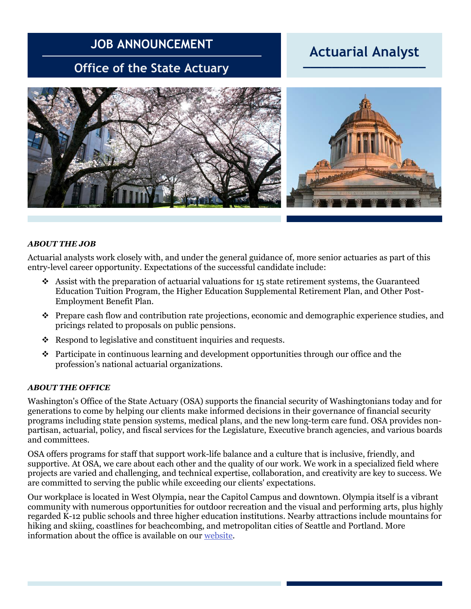# **JOB ANNOUNCEMENT**

## **Office of the State Actuary**

### **Actuarial Analyst \_\_\_\_\_\_\_\_\_\_\_\_\_\_\_\_\_**



#### *ABOUT THE JOB*

Actuarial analysts work closely with, and under the general guidance of, more senior actuaries as part of this entry-level career opportunity. Expectations of the successful candidate include:

- $\cdot$  Assist with the preparation of actuarial valuations for 15 state retirement systems, the Guaranteed Education Tuition Program, the Higher Education Supplemental Retirement Plan, and Other Post-Employment Benefit Plan.
- ❖ Prepare cash flow and contribution rate projections, economic and demographic experience studies, and pricings related to proposals on public pensions.
- ❖ Respond to legislative and constituent inquiries and requests.
- ❖ Participate in continuous learning and development opportunities through our office and the profession's national actuarial organizations.

#### *ABOUT THE OFFICE*

Washington's Office of the State Actuary (OSA) supports the financial security of Washingtonians today and for generations to come by helping our clients make informed decisions in their governance of financial security programs including state pension systems, medical plans, and the new long-term care fund. OSA provides nonpartisan, actuarial, policy, and fiscal services for the Legislature, Executive branch agencies, and various boards and committees.

OSA offers programs for staff that support work-life balance and a culture that is inclusive, friendly, and supportive. At OSA, we care about each other and the quality of our work. We work in a specialized field where projects are varied and challenging, and technical expertise, collaboration, and creativity are key to success. We are committed to serving the public while exceeding our clients' expectations.

Our workplace is located in West Olympia, near the Capitol Campus and downtown. Olympia itself is a vibrant community with numerous opportunities for outdoor recreation and the visual and performing arts, plus highly regarded K-12 public schools and three higher education institutions. Nearby attractions include mountains for hiking and skiing, coastlines for beachcombing, and metropolitan cities of Seattle and Portland. More information about the office is available on our [website.](http://leg.wa.gov/OSA/Pages/default.aspx)